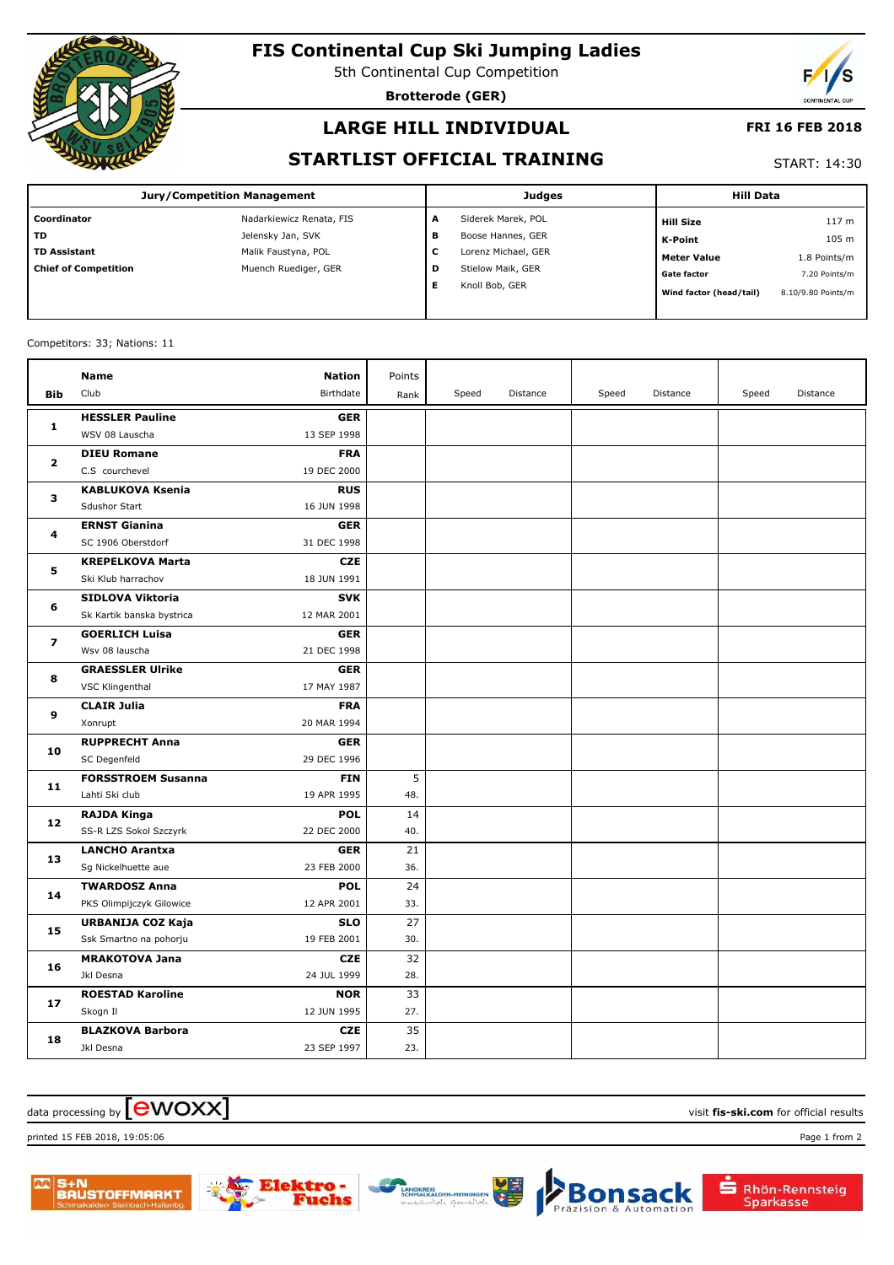

# **FIS Continental Cup Ski Jumping Ladies**

5th Continental Cup Competition

**Brotterode (GER)**



### **LARGE HILL INDIVIDUAL**

#### **FRI 16 FEB 2018**

### **STARTLIST OFFICIAL TRAINING**

#### START: 14:30

| <b>Jury/Competition Management</b> |                          |   | <b>Judges</b>       | <b>Hill Data</b>        |                    |
|------------------------------------|--------------------------|---|---------------------|-------------------------|--------------------|
| Coordinator                        | Nadarkiewicz Renata, FIS | A | Siderek Marek, POL  | <b>Hill Size</b>        | 117 <sub>m</sub>   |
| <b>TD</b>                          | Jelensky Jan, SVK        | в | Boose Hannes, GER   | K-Point                 | 105 m              |
| <b>TD Assistant</b>                | Malik Faustyna, POL      | c | Lorenz Michael, GER | Meter Value             | 1.8 Points/m       |
| <b>Chief of Competition</b>        | Muench Ruediger, GER     | D | Stielow Maik, GER   | <b>Gate factor</b>      | 7.20 Points/m      |
|                                    |                          | Е | Knoll Bob, GER      | Wind factor (head/tail) | 8.10/9.80 Points/m |

#### Competitors: 33; Nations: 11

|                | <b>Name</b>               | <b>Nation</b> | Points |       |          |       |          |       |          |
|----------------|---------------------------|---------------|--------|-------|----------|-------|----------|-------|----------|
| <b>Bib</b>     | Club                      | Birthdate     | Rank   | Speed | Distance | Speed | Distance | Speed | Distance |
|                | <b>HESSLER Pauline</b>    | <b>GER</b>    |        |       |          |       |          |       |          |
| 1              | WSV 08 Lauscha            | 13 SEP 1998   |        |       |          |       |          |       |          |
| $\overline{2}$ | <b>DIEU Romane</b>        | <b>FRA</b>    |        |       |          |       |          |       |          |
|                | C.S courchevel            | 19 DEC 2000   |        |       |          |       |          |       |          |
| з              | <b>KABLUKOVA Ksenia</b>   | <b>RUS</b>    |        |       |          |       |          |       |          |
|                | <b>Sdushor Start</b>      | 16 JUN 1998   |        |       |          |       |          |       |          |
| 4              | <b>ERNST Gianina</b>      | <b>GER</b>    |        |       |          |       |          |       |          |
|                | SC 1906 Oberstdorf        | 31 DEC 1998   |        |       |          |       |          |       |          |
| 5              | <b>KREPELKOVA Marta</b>   | <b>CZE</b>    |        |       |          |       |          |       |          |
|                | Ski Klub harrachov        | 18 JUN 1991   |        |       |          |       |          |       |          |
| 6              | SIDLOVA Viktoria          | <b>SVK</b>    |        |       |          |       |          |       |          |
|                | Sk Kartik banska bystrica | 12 MAR 2001   |        |       |          |       |          |       |          |
| 7              | <b>GOERLICH Luisa</b>     | <b>GER</b>    |        |       |          |       |          |       |          |
|                | Wsv 08 lauscha            | 21 DEC 1998   |        |       |          |       |          |       |          |
| 8              | <b>GRAESSLER Ulrike</b>   | <b>GER</b>    |        |       |          |       |          |       |          |
|                | VSC Klingenthal           | 17 MAY 1987   |        |       |          |       |          |       |          |
| 9              | <b>CLAIR Julia</b>        | <b>FRA</b>    |        |       |          |       |          |       |          |
|                | Xonrupt                   | 20 MAR 1994   |        |       |          |       |          |       |          |
| 10             | <b>RUPPRECHT Anna</b>     | <b>GER</b>    |        |       |          |       |          |       |          |
|                | SC Degenfeld              | 29 DEC 1996   |        |       |          |       |          |       |          |
| 11             | <b>FORSSTROEM Susanna</b> | <b>FIN</b>    | 5      |       |          |       |          |       |          |
|                | Lahti Ski club            | 19 APR 1995   | 48.    |       |          |       |          |       |          |
| 12             | <b>RAJDA Kinga</b>        | <b>POL</b>    | 14     |       |          |       |          |       |          |
|                | SS-R LZS Sokol Szczyrk    | 22 DEC 2000   | 40.    |       |          |       |          |       |          |
| 13             | <b>LANCHO Arantxa</b>     | <b>GER</b>    | 21     |       |          |       |          |       |          |
|                | Sg Nickelhuette aue       | 23 FEB 2000   | 36.    |       |          |       |          |       |          |
| 14             | <b>TWARDOSZ Anna</b>      | <b>POL</b>    | 24     |       |          |       |          |       |          |
|                | PKS Olimpijczyk Gilowice  | 12 APR 2001   | 33.    |       |          |       |          |       |          |
| 15             | URBANIJA COZ Kaja         | <b>SLO</b>    | 27     |       |          |       |          |       |          |
|                | Ssk Smartno na pohorju    | 19 FEB 2001   | 30.    |       |          |       |          |       |          |
| 16             | <b>MRAKOTOVA Jana</b>     | <b>CZE</b>    | 32     |       |          |       |          |       |          |
|                | Jkl Desna                 | 24 JUL 1999   | 28.    |       |          |       |          |       |          |
| 17             | <b>ROESTAD Karoline</b>   | <b>NOR</b>    | 33     |       |          |       |          |       |          |
|                | Skogn Il                  | 12 JUN 1995   | 27.    |       |          |       |          |       |          |
| 18             | <b>BLAZKOVA Barbora</b>   | <b>CZE</b>    | 35     |       |          |       |          |       |          |
|                | Jkl Desna                 | 23 SEP 1997   | 23.    |       |          |       |          |       |          |

### $\frac{1}{2}$  data processing by  $\boxed{\text{ewOX}}$

printed 15 FEB 2018, 19:05:06 Page 1 from 2